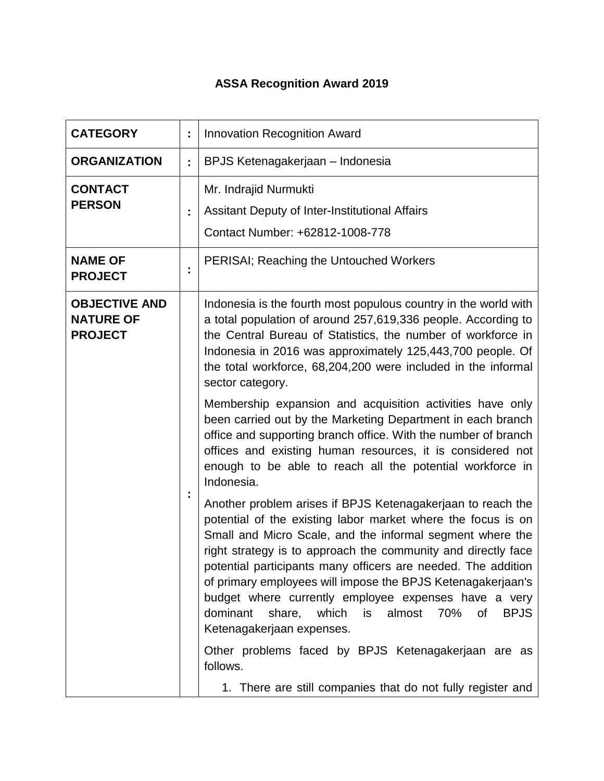## **ASSA Recognition Award 2019**

| <b>CATEGORY</b>                                            |   | <b>Innovation Recognition Award</b>                                                                                                                                                                                                                                                                                                                                                                                                                                                                                                                                                                                                                                                                       |
|------------------------------------------------------------|---|-----------------------------------------------------------------------------------------------------------------------------------------------------------------------------------------------------------------------------------------------------------------------------------------------------------------------------------------------------------------------------------------------------------------------------------------------------------------------------------------------------------------------------------------------------------------------------------------------------------------------------------------------------------------------------------------------------------|
| <b>ORGANIZATION</b>                                        | t | BPJS Ketenagakerjaan – Indonesia                                                                                                                                                                                                                                                                                                                                                                                                                                                                                                                                                                                                                                                                          |
| <b>CONTACT</b><br><b>PERSON</b>                            | t | Mr. Indrajid Nurmukti<br>Assitant Deputy of Inter-Institutional Affairs<br>Contact Number: +62812-1008-778                                                                                                                                                                                                                                                                                                                                                                                                                                                                                                                                                                                                |
| <b>NAME OF</b><br><b>PROJECT</b>                           |   | <b>PERISAI; Reaching the Untouched Workers</b>                                                                                                                                                                                                                                                                                                                                                                                                                                                                                                                                                                                                                                                            |
| <b>OBJECTIVE AND</b><br><b>NATURE OF</b><br><b>PROJECT</b> |   | Indonesia is the fourth most populous country in the world with<br>a total population of around 257,619,336 people. According to<br>the Central Bureau of Statistics, the number of workforce in<br>Indonesia in 2016 was approximately 125,443,700 people. Of<br>the total workforce, 68,204,200 were included in the informal<br>sector category.<br>Membership expansion and acquisition activities have only<br>been carried out by the Marketing Department in each branch<br>office and supporting branch office. With the number of branch<br>offices and existing human resources, it is considered not<br>enough to be able to reach all the potential workforce in                              |
|                                                            |   | Indonesia.<br>Another problem arises if BPJS Ketenagakerjaan to reach the<br>potential of the existing labor market where the focus is on<br>Small and Micro Scale, and the informal segment where the<br>right strategy is to approach the community and directly face<br>potential participants many officers are needed. The addition<br>of primary employees will impose the BPJS Ketenagakerjaan's<br>budget where currently employee expenses have a very<br><b>BPJS</b><br>dominant<br>almost<br>70%<br>of<br>share,<br>which<br>is<br>Ketenagakerjaan expenses.<br>Other problems faced by BPJS Ketenagakerjaan are as<br>follows.<br>1. There are still companies that do not fully register and |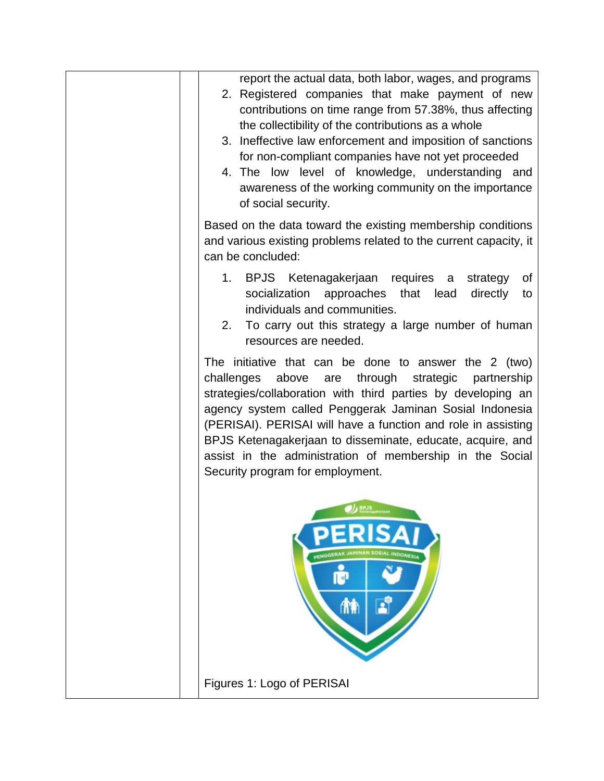| report the actual data, both labor, wages, and programs<br>2. Registered companies that make payment of new<br>contributions on time range from 57.38%, thus affecting<br>the collectibility of the contributions as a whole<br>3. Ineffective law enforcement and imposition of sanctions<br>for non-compliant companies have not yet proceeded<br>4. The low level of knowledge, understanding and<br>awareness of the working community on the importance<br>of social security.  |
|--------------------------------------------------------------------------------------------------------------------------------------------------------------------------------------------------------------------------------------------------------------------------------------------------------------------------------------------------------------------------------------------------------------------------------------------------------------------------------------|
| Based on the data toward the existing membership conditions<br>and various existing problems related to the current capacity, it<br>can be concluded:                                                                                                                                                                                                                                                                                                                                |
| 1. BPJS Ketenagakerjaan requires a<br>strategy<br>0f<br>socialization approaches that lead<br>directly<br>to<br>individuals and communities.<br>To carry out this strategy a large number of human<br>2.<br>resources are needed.                                                                                                                                                                                                                                                    |
| The initiative that can be done to answer the 2 (two)<br>challenges<br>above<br>through<br>strategic<br>are<br>partnership<br>strategies/collaboration with third parties by developing an<br>agency system called Penggerak Jaminan Sosial Indonesia<br>(PERISAI). PERISAI will have a function and role in assisting<br>BPJS Ketenagakerjaan to disseminate, educate, acquire, and<br>assist in the administration of membership in the Social<br>Security program for employment. |
| <b>OL</b> BRUS<br><b>ERISAI</b><br>PENGGERAK JAMINAN SOSIAL INDONESI<br>P<br><b>TIP</b>                                                                                                                                                                                                                                                                                                                                                                                              |
| Figures 1: Logo of PERISAI                                                                                                                                                                                                                                                                                                                                                                                                                                                           |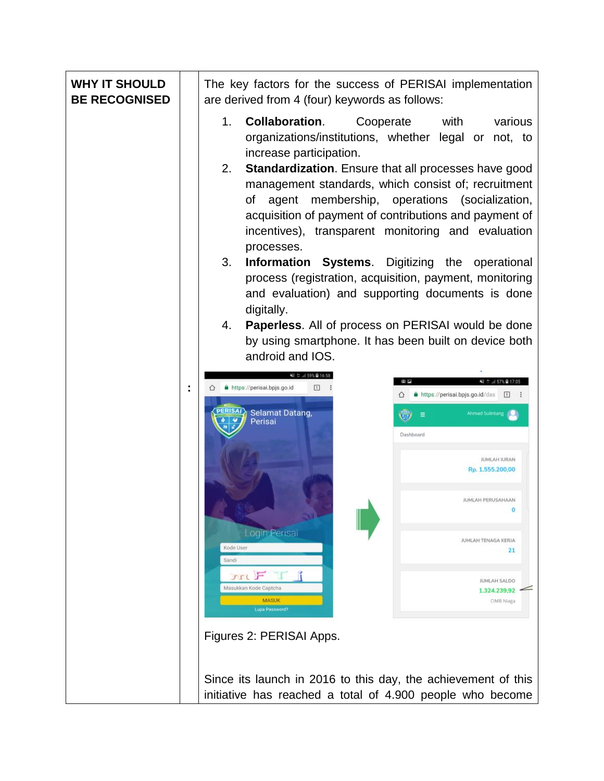| <b>WHY IT SHOULD</b><br><b>BE RECOGNISED</b> | The key factors for the success of PERISAI implementation<br>are derived from 4 (four) keywords as follows:                                                                                                                                                                                                                                                                                                                                                                                                                                                                                                                                                                                                                                                                                                    |
|----------------------------------------------|----------------------------------------------------------------------------------------------------------------------------------------------------------------------------------------------------------------------------------------------------------------------------------------------------------------------------------------------------------------------------------------------------------------------------------------------------------------------------------------------------------------------------------------------------------------------------------------------------------------------------------------------------------------------------------------------------------------------------------------------------------------------------------------------------------------|
|                                              | 1.<br><b>Collaboration.</b><br>Cooperate<br>with<br>various<br>organizations/institutions, whether legal or not, to<br>increase participation.<br>2.<br><b>Standardization.</b> Ensure that all processes have good<br>management standards, which consist of; recruitment<br>membership, operations (socialization,<br>of<br>agent<br>acquisition of payment of contributions and payment of<br>incentives), transparent monitoring and evaluation<br>processes.<br>3.<br><b>Information Systems.</b> Digitizing the operational<br>process (registration, acquisition, payment, monitoring<br>and evaluation) and supporting documents is done<br>digitally.<br><b>Paperless.</b> All of process on PERISAI would be done<br>4.<br>by using smartphone. It has been built on device both<br>android and IOS. |
|                                              | 복 발  59% 출 16:58<br>国际<br>ul 57% 을 17:05<br>https://perisai.bpjs.go.id<br>⊡<br>https://perisai.bpjs.go.id/das<br> 1                                                                                                                                                                                                                                                                                                                                                                                                                                                                                                                                                                                                                                                                                            |
|                                              | Selamat Datang,<br><b>Ahmad Sulintang</b><br>Perisai<br>Dashboard<br><b>JUMLAH IURAN</b><br>Rp. 1.555.200,00<br>JUMLAH PERUSAHAAN<br>Login Perisai<br>JUMLAH TENAGA KERJA<br>Kode User<br>21<br>Sandi                                                                                                                                                                                                                                                                                                                                                                                                                                                                                                                                                                                                          |
|                                              | $\pi F$ $\pi$<br><b>JUMLAH SALDO</b><br>Masukkan Kode Captcha<br>1.324.239,92<br><b>MASUK</b><br>CIMB Niaga<br>Lupa Password?                                                                                                                                                                                                                                                                                                                                                                                                                                                                                                                                                                                                                                                                                  |
|                                              | Figures 2: PERISAI Apps.                                                                                                                                                                                                                                                                                                                                                                                                                                                                                                                                                                                                                                                                                                                                                                                       |
|                                              | Since its launch in 2016 to this day, the achievement of this<br>initiative has reached a total of 4.900 people who become                                                                                                                                                                                                                                                                                                                                                                                                                                                                                                                                                                                                                                                                                     |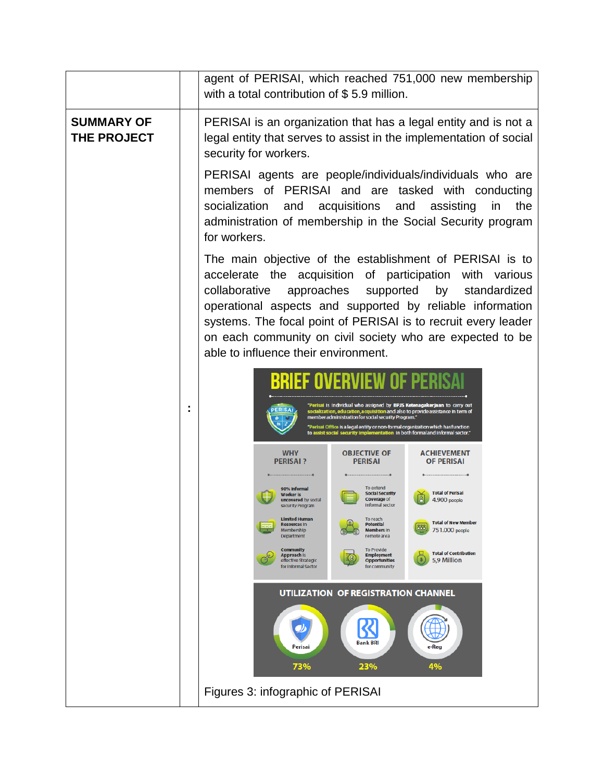|                                  | agent of PERISAI, which reached 751,000 new membership<br>with a total contribution of \$5.9 million.                                                                                                                                                                                                                                                                                                                      |
|----------------------------------|----------------------------------------------------------------------------------------------------------------------------------------------------------------------------------------------------------------------------------------------------------------------------------------------------------------------------------------------------------------------------------------------------------------------------|
| <b>SUMMARY OF</b><br>THE PROJECT | PERISAI is an organization that has a legal entity and is not a<br>legal entity that serves to assist in the implementation of social<br>security for workers.                                                                                                                                                                                                                                                             |
|                                  | PERISAI agents are people/individuals/individuals who are<br>members of PERISAI and are tasked with conducting<br>socialization<br>acquisitions and assisting<br>the<br>and<br>in<br>administration of membership in the Social Security program<br>for workers.                                                                                                                                                           |
|                                  | The main objective of the establishment of PERISAI is to<br>accelerate the acquisition of participation with various<br>approaches<br>supported<br>by<br>collaborative<br>standardized<br>operational aspects and supported by reliable information<br>systems. The focal point of PERISAI is to recruit every leader<br>on each community on civil society who are expected to be<br>able to influence their environment. |
|                                  | OVERVIEW OF                                                                                                                                                                                                                                                                                                                                                                                                                |
|                                  | sai is Individual who assigned by BPJS Ketenagakerjaan to carry out<br>socialization, education, acquisition and also to provide assistance in term of<br>member administration for social security Program."<br>"Perisai Office is a legal entity or non-formal organization which has function<br>st social security implementation in both formaland informal sector."                                                  |
|                                  | <b>WHY</b><br><b>OBJECTIVE OF</b><br><b>ACHIEVEMENT</b><br><b>PERISAI?</b><br><b>PERISAI</b><br><b>OF PERISAI</b>                                                                                                                                                                                                                                                                                                          |
|                                  | To extend<br>90% Informal<br><b>Total of Perisal</b><br><b>Social Security</b><br>Vorker is<br>Coverage of<br>4.900 people<br>uncovered by social<br><b>Informal sector</b><br>security Program                                                                                                                                                                                                                            |
|                                  | <b>Limited Human</b><br>To reach<br><b>Total of New Member</b><br><b>Resources In</b><br><b>Potential</b><br>888<br><b>Members</b> In<br>751.000 people<br>Membership<br>Department<br>remote area                                                                                                                                                                                                                         |
|                                  | <b>Community</b><br>To Provide<br><b>Total of Contribution</b><br><b>Approach Is</b><br><b>Employment</b><br>5,9 Million<br>effective Strategic<br><b>Opportunities</b><br>for Informal Sector<br>for community                                                                                                                                                                                                            |
|                                  | <b>UTILIZATION OF REGISTRATION CHANNEL</b>                                                                                                                                                                                                                                                                                                                                                                                 |
|                                  | <b>Bank BRI</b><br>Perisai<br>e-Reg<br>73%<br>4%<br>23%                                                                                                                                                                                                                                                                                                                                                                    |
|                                  | Figures 3: infographic of PERISAI                                                                                                                                                                                                                                                                                                                                                                                          |